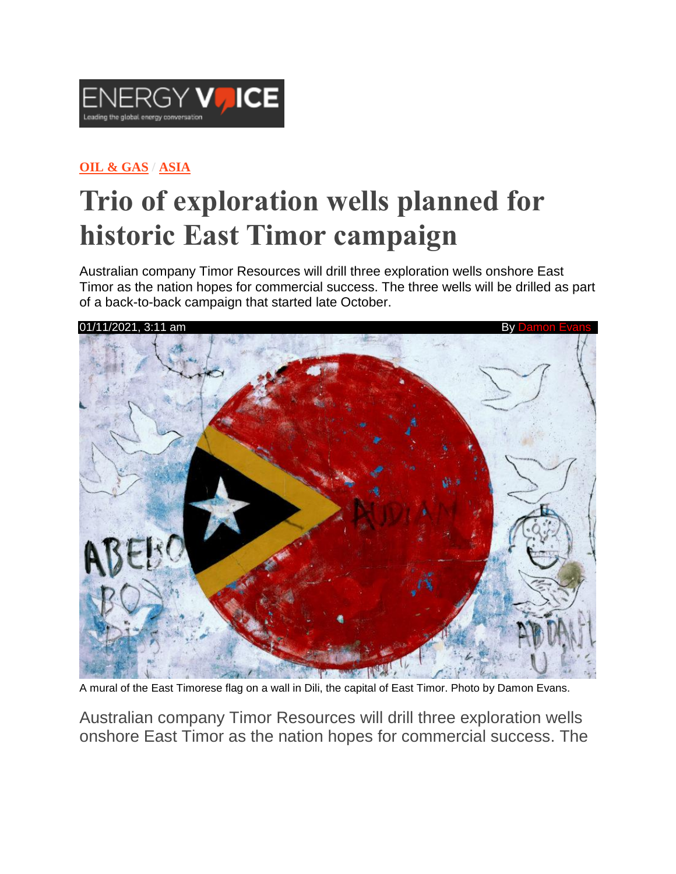

#### **OIL & [GAS](https://www.energyvoice.com/category/oilandgas/) / [ASIA](https://www.energyvoice.com/category/oilandgas/asia/)**

# **Trio of exploration wells planned for historic East Timor campaign**

Australian company Timor Resources will drill three exploration wells onshore East Timor as the nation hopes for commercial success. The three wells will be drilled as part of a back-to-back campaign that started late October.



A mural of the East Timorese flag on a wall in Dili, the capital of East Timor. Photo by Damon Evans.

Australian company Timor Resources will drill three exploration wells onshore East Timor as the nation hopes for commercial success. The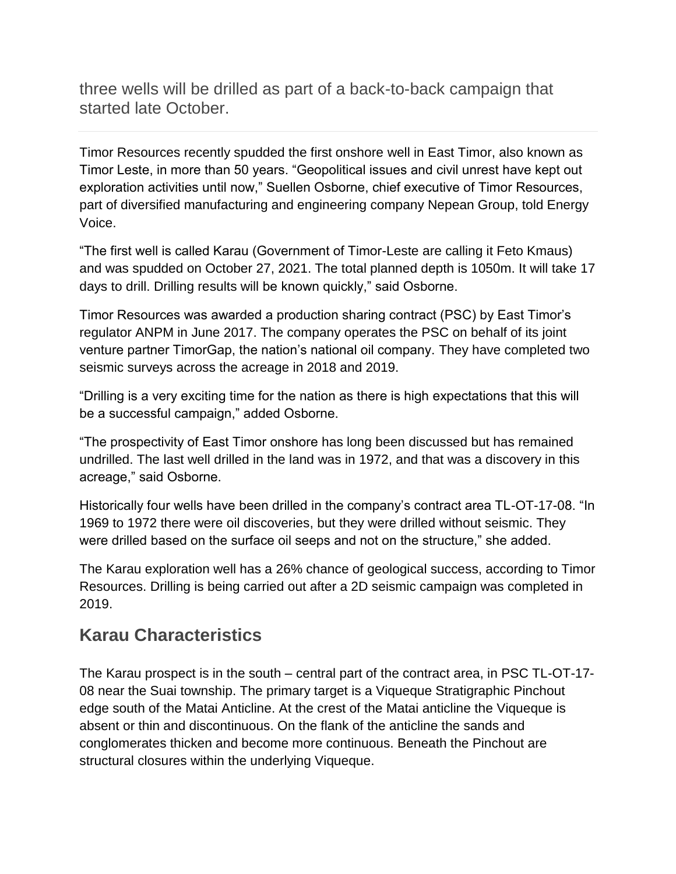three wells will be drilled as part of a back-to-back campaign that started late October.

Timor Resources recently spudded the first onshore well in East Timor, also known as Timor Leste, in more than 50 years. "Geopolitical issues and civil unrest have kept out exploration activities until now," Suellen Osborne, chief executive of Timor Resources, part of diversified manufacturing and engineering company Nepean Group, told Energy Voice.

"The first well is called Karau (Government of Timor-Leste are calling it Feto Kmaus) and was spudded on October 27, 2021. The total planned depth is 1050m. It will take 17 days to drill. Drilling results will be known quickly," said Osborne.

Timor Resources was awarded a production sharing contract (PSC) by East Timor's regulator ANPM in June 2017. The company operates the PSC on behalf of its joint venture partner TimorGap, the nation's national oil company. They have completed two seismic surveys across the acreage in 2018 and 2019.

"Drilling is a very exciting time for the nation as there is high expectations that this will be a successful campaign," added Osborne.

"The prospectivity of East Timor onshore has long been discussed but has remained undrilled. The last well drilled in the land was in 1972, and that was a discovery in this acreage," said Osborne.

Historically four wells have been drilled in the company's contract area TL-OT-17-08. "In 1969 to 1972 there were oil discoveries, but they were drilled without seismic. They were drilled based on the surface oil seeps and not on the structure," she added.

The Karau exploration well has a 26% chance of geological success, according to Timor Resources. Drilling is being carried out after a 2D seismic campaign was completed in 2019.

#### **Karau Characteristics**

The Karau prospect is in the south – central part of the contract area, in PSC TL-OT-17- 08 near the Suai township. The primary target is a Viqueque Stratigraphic Pinchout edge south of the Matai Anticline. At the crest of the Matai anticline the Viqueque is absent or thin and discontinuous. On the flank of the anticline the sands and conglomerates thicken and become more continuous. Beneath the Pinchout are structural closures within the underlying Viqueque.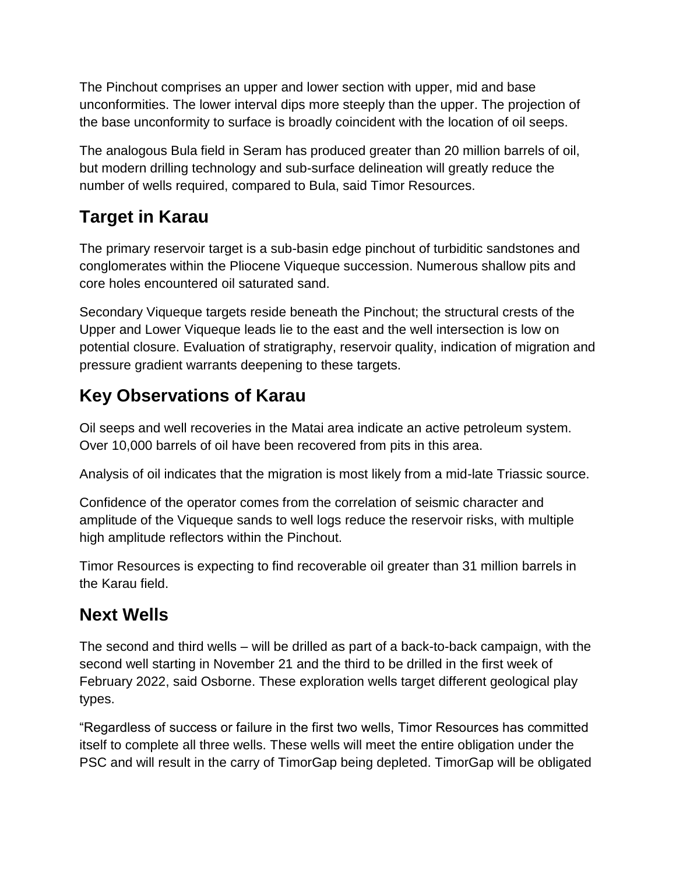The Pinchout comprises an upper and lower section with upper, mid and base unconformities. The lower interval dips more steeply than the upper. The projection of the base unconformity to surface is broadly coincident with the location of oil seeps.

The analogous Bula field in Seram has produced greater than 20 million barrels of oil, but modern drilling technology and sub-surface delineation will greatly reduce the number of wells required, compared to Bula, said Timor Resources.

#### **Target in Karau**

The primary reservoir target is a sub-basin edge pinchout of turbiditic sandstones and conglomerates within the Pliocene Viqueque succession. Numerous shallow pits and core holes encountered oil saturated sand.

Secondary Viqueque targets reside beneath the Pinchout; the structural crests of the Upper and Lower Viqueque leads lie to the east and the well intersection is low on potential closure. Evaluation of stratigraphy, reservoir quality, indication of migration and pressure gradient warrants deepening to these targets.

## **Key Observations of Karau**

Oil seeps and well recoveries in the Matai area indicate an active petroleum system. Over 10,000 barrels of oil have been recovered from pits in this area.

Analysis of oil indicates that the migration is most likely from a mid-late Triassic source.

Confidence of the operator comes from the correlation of seismic character and amplitude of the Viqueque sands to well logs reduce the reservoir risks, with multiple high amplitude reflectors within the Pinchout.

Timor Resources is expecting to find recoverable oil greater than 31 million barrels in the Karau field.

#### **Next Wells**

The second and third wells – will be drilled as part of a back-to-back campaign, with the second well starting in November 21 and the third to be drilled in the first week of February 2022, said Osborne. These exploration wells target different geological play types.

"Regardless of success or failure in the first two wells, Timor Resources has committed itself to complete all three wells. These wells will meet the entire obligation under the PSC and will result in the carry of TimorGap being depleted. TimorGap will be obligated